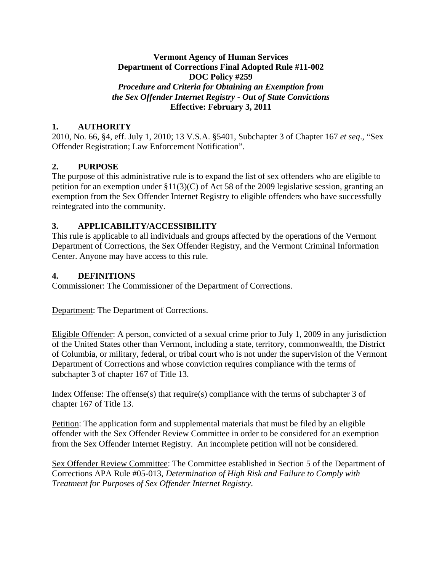#### **Vermont Agency of Human Services Department of Corrections Final Adopted Rule #11-002 DOC Policy #259**  *Procedure and Criteria for Obtaining an Exemption from the Sex Offender Internet Registry - Out of State Convictions*  **Effective: February 3, 2011**

### **1. AUTHORITY**

2010, No. 66, §4, eff. July 1, 2010; 13 V.S.A. §5401, Subchapter 3 of Chapter 167 *et seq*., "Sex Offender Registration; Law Enforcement Notification".

# **2. PURPOSE**

The purpose of this administrative rule is to expand the list of sex offenders who are eligible to petition for an exemption under §11(3)(C) of Act 58 of the 2009 legislative session, granting an exemption from the Sex Offender Internet Registry to eligible offenders who have successfully reintegrated into the community.

## **3. APPLICABILITY/ACCESSIBILITY**

This rule is applicable to all individuals and groups affected by the operations of the Vermont Department of Corrections, the Sex Offender Registry, and the Vermont Criminal Information Center. Anyone may have access to this rule.

#### **4. DEFINITIONS**

Commissioner: The Commissioner of the Department of Corrections.

Department: The Department of Corrections.

Eligible Offender: A person, convicted of a sexual crime prior to July 1, 2009 in any jurisdiction of the United States other than Vermont, including a state, territory, commonwealth, the District of Columbia, or military, federal, or tribal court who is not under the supervision of the Vermont Department of Corrections and whose conviction requires compliance with the terms of subchapter 3 of chapter 167 of Title 13.

Index Offense: The offense(s) that require(s) compliance with the terms of subchapter 3 of chapter 167 of Title 13.

Petition: The application form and supplemental materials that must be filed by an eligible offender with the Sex Offender Review Committee in order to be considered for an exemption from the Sex Offender Internet Registry. An incomplete petition will not be considered.

Sex Offender Review Committee: The Committee established in Section 5 of the Department of Corrections APA Rule #05-013, *Determination of High Risk and Failure to Comply with Treatment for Purposes of Sex Offender Internet Registry*.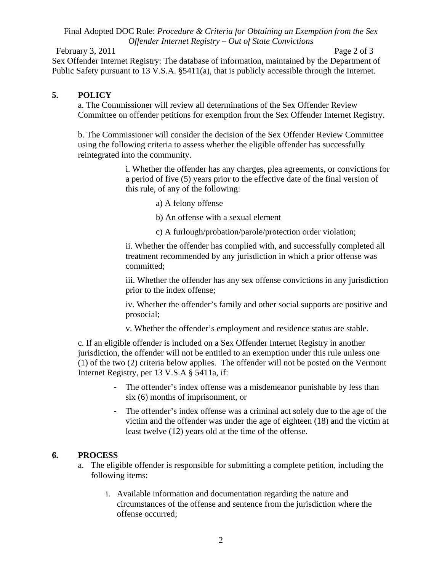#### Final Adopted DOC Rule: *Procedure & Criteria for Obtaining an Exemption from the Sex Offender Internet Registry – Out of State Convictions*

February 3, 2011 Page 2 of 3 Sex Offender Internet Registry: The database of information, maintained by the Department of Public Safety pursuant to 13 V.S.A. §5411(a), that is publicly accessible through the Internet.

### **5. POLICY**

a. The Commissioner will review all determinations of the Sex Offender Review Committee on offender petitions for exemption from the Sex Offender Internet Registry.

b. The Commissioner will consider the decision of the Sex Offender Review Committee using the following criteria to assess whether the eligible offender has successfully reintegrated into the community.

> i. Whether the offender has any charges, plea agreements, or convictions for a period of five (5) years prior to the effective date of the final version of this rule, of any of the following:

- a) A felony offense
- b) An offense with a sexual element
- c) A furlough/probation/parole/protection order violation;

ii. Whether the offender has complied with, and successfully completed all treatment recommended by any jurisdiction in which a prior offense was committed;

iii. Whether the offender has any sex offense convictions in any jurisdiction prior to the index offense;

iv. Whether the offender's family and other social supports are positive and prosocial;

v. Whether the offender's employment and residence status are stable.

c. If an eligible offender is included on a Sex Offender Internet Registry in another jurisdiction, the offender will not be entitled to an exemption under this rule unless one (1) of the two (2) criteria below applies. The offender will not be posted on the Vermont Internet Registry, per 13 V.S.A § 5411a, if:

- The offender's index offense was a misdemeanor punishable by less than six (6) months of imprisonment, or
- The offender's index offense was a criminal act solely due to the age of the victim and the offender was under the age of eighteen (18) and the victim at least twelve (12) years old at the time of the offense.

#### **6. PROCESS**

- a. The eligible offender is responsible for submitting a complete petition, including the following items:
	- i. Available information and documentation regarding the nature and circumstances of the offense and sentence from the jurisdiction where the offense occurred;